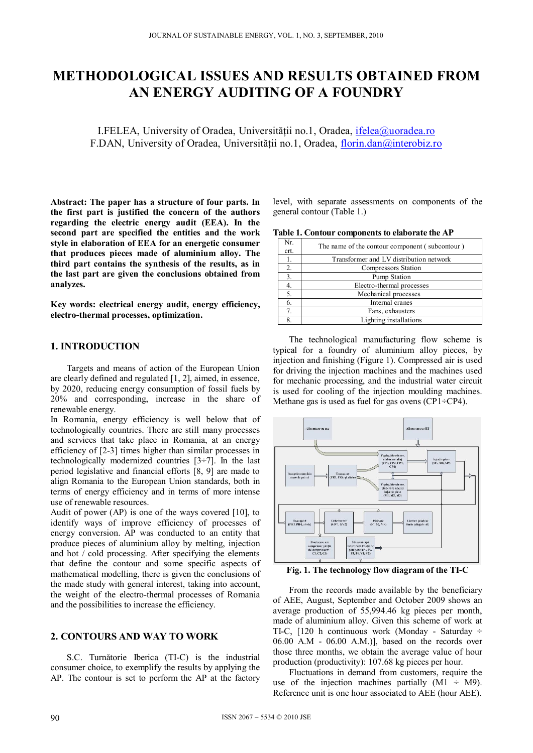# **METHODOLOGICAL ISSUES AND RESULTS OBTAINED FROM AN ENERGY AUDITING OF A FOUNDRY**

I.FELEA, University of Oradea, Universităţii no.1, Oradea, ifelea@uoradea.ro F.DAN, University of Oradea, Universității no.1, Oradea, florin.dan@interobiz.ro

**Abstract: The paper has a structure of four parts. In the first part is justified the concern of the authors regarding the electric energy audit (EEA). In the second part are specified the entities and the work style in elaboration of EEA for an energetic consumer that produces pieces made of aluminium alloy. The third part contains the synthesis of the results, as in the last part are given the conclusions obtained from analyzes.** 

**Key words: electrical energy audit, energy efficiency, electro-thermal processes, optimization.** 

# **1. INTRODUCTION**

Targets and means of action of the European Union are clearly defined and regulated [1, 2], aimed, in essence, by 2020, reducing energy consumption of fossil fuels by 20% and corresponding, increase in the share of renewable energy.

In Romania, energy efficiency is well below that of technologically countries. There are still many processes and services that take place in Romania, at an energy efficiency of [2-3] times higher than similar processes in technologically modernized countries [3÷7]. In the last period legislative and financial efforts [8, 9] are made to align Romania to the European Union standards, both in terms of energy efficiency and in terms of more intense use of renewable resources.

Audit of power (AP) is one of the ways covered [10], to identify ways of improve efficiency of processes of energy conversion. AP was conducted to an entity that produce pieces of aluminium alloy by melting, injection and hot  $\overline{\prime}$  cold processing. After specifying the elements that define the contour and some specific aspects of mathematical modelling, there is given the conclusions of the made study with general interest, taking into account, the weight of the electro-thermal processes of Romania and the possibilities to increase the efficiency.

# **2. CONTOURS AND WAY TO WORK**

S.C. Turnătorie Iberica (TI-C) is the industrial consumer choice, to exemplify the results by applying the AP. The contour is set to perform the AP at the factory level, with separate assessments on components of the general contour (Table 1.)

**Table 1. Contour components to elaborate the AP** 

| Nr.<br>crt. | The name of the contour component (subcontour) |  |
|-------------|------------------------------------------------|--|
| 1.          | Transformer and LV distribution network        |  |
| 2.          | <b>Compressors Station</b>                     |  |
| 3.          | Pump Station                                   |  |
| 4.          | Electro-thermal processes                      |  |
| 5.          | Mechanical processes                           |  |
| 6.          | Internal cranes                                |  |
| 7.          | Fans, exhausters                               |  |
| 8.          | Lighting installations                         |  |

The technological manufacturing flow scheme is typical for a foundry of aluminium alloy pieces, by injection and finishing (Figure 1). Compressed air is used for driving the injection machines and the machines used for mechanic processing, and the industrial water circuit is used for cooling of the injection moulding machines. Methane gas is used as fuel for gas ovens (CP1÷CP4).



**Fig. 1. The technology flow diagram of the TI-C** 

From the records made available by the beneficiary of AEE, August, September and October 2009 shows an average production of 55,994.46 kg pieces per month, made of aluminium alloy. Given this scheme of work at TI-C, [120 h continuous work (Monday - Saturday ÷ 06.00 A.M - 06.00 A.M.)], based on the records over those three months, we obtain the average value of hour production (productivity): 107.68 kg pieces per hour.

Fluctuations in demand from customers, require the use of the injection machines partially  $(M1 \div M9)$ . Reference unit is one hour associated to AEE (hour AEE).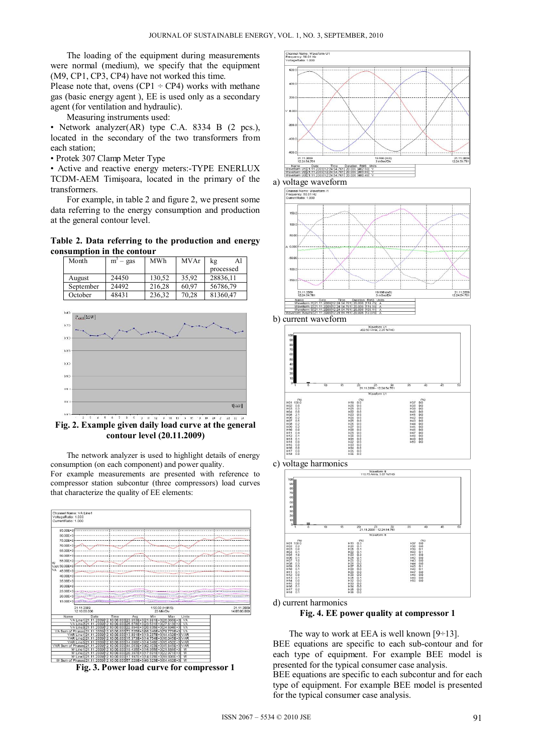The loading of the equipment during measurements were normal (medium), we specify that the equipment (M9, CP1, CP3, CP4) have not worked this time.

Please note that, ovens  $(CP1 \div CP4)$  works with methane gas (basic energy agent ), EE is used only as a secondary agent (for ventilation and hydraulic).

Measuring instruments used:

• Network analyzer(AR) type C.A. 8334 B (2 pcs.), located in the secondary of the two transformers from each station;

• Protek 307 Clamp Meter Type

• Active and reactive energy meters:-TYPE ENERLUX TCDM-AEM Timişoara, located in the primary of the transformers.

For example, in table 2 and figure 2, we present some data referring to the energy consumption and production at the general contour level.

**Table 2. Data referring to the production and energy consumption in the contour** 





**Fig. 2. Example given daily load curve at the general contour level (20.11.2009)** 

The network analyzer is used to highlight details of energy consumption (on each component) and power quality. For example measurements are presented with reference to compressor station subcontur (three compressors) load curves that characterize the quality of EE elements:



**Fig. 3. Power load curve for compressor 1** 





The way to work at EEA is well known  $[9\div 13]$ . BEE equations are specific to each sub-contour and for each type of equipment. For example BEE model is presented for the typical consumer case analysis.

BEE equations are specific to each subcontur and for each type of equipment. For example BEE model is presented for the typical consumer case analysis.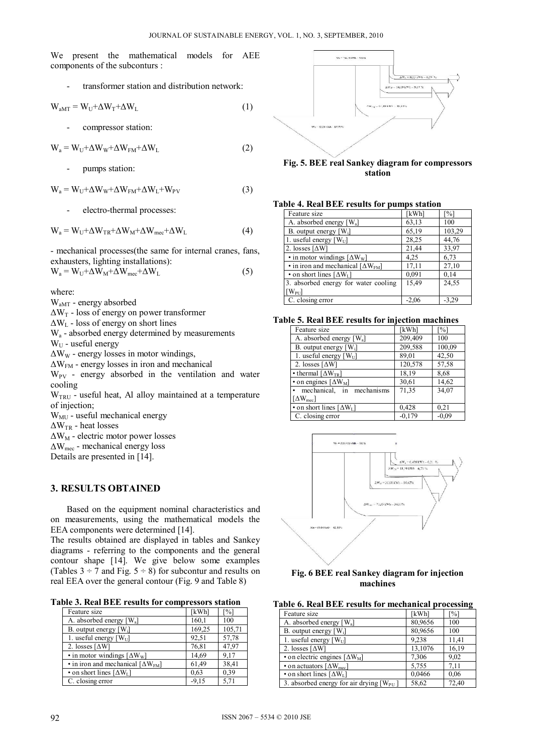We present the mathematical models for AEE components of the subconturs :

transformer station and distribution network:

$$
W_{aMT} = W_U + \Delta W_T + \Delta W_L
$$
 (1)

compressor station:

 $W_a = W_U + \Delta W_W + \Delta W_{FM} + \Delta W_L$  (2)

pumps station:

 $W_a = W_U + \Delta W_W + \Delta W_{FM} + \Delta W_L + W_{PV}$  (3)

electro-thermal processes:

$$
W_a = W_U + \Delta W_{TR} + \Delta W_M + \Delta W_{mec} + \Delta W_L
$$
 (4)

- mechanical processes(the same for internal cranes, fans, exhausters, lighting installations):  $W_a = W_U + \Delta W_M + \Delta W_{\text{mec}} + \Delta W_L$  (5)

where:

WaMT - energy absorbed

 $\Delta W_T$  - loss of energy on power transformer

 $\Delta W_L$  - loss of energy on short lines

 $W_a$  - absorbed energy determined by measurements  $W_{U}$  - useful energy

 $\Delta W_W$  - energy losses in motor windings,

 $\Delta W_{FM}$  - energy losses in iron and mechanical  $W_{PV}$  - energy absorbed in the ventilation and water cooling

 $W<sub>TRU</sub>$  - useful heat, Al alloy maintained at a temperature of injection;

W<sub>MU</sub> - useful mechanical energy

 $\Delta W_{TR}$  - heat losses

 $\Delta W_M$  - electric motor power losses

 $\Delta W_{\text{mec}}$  - mechanical energy loss

Details are presented in [14].

# **3. RESULTS OBTAINED**

Based on the equipment nominal characteristics and on measurements, using the mathematical models the EEA components were determined [14].

The results obtained are displayed in tables and Sankey diagrams - referring to the components and the general contour shape [14]. We give below some examples (Tables  $3 \div 7$  and Fig.  $5 \div 8$ ) for subcontur and results on real EEA over the general contour (Fig. 9 and Table 8)

**Table 3. Real BEE results for compressors station** 

| Feature size                                          | [kWh]   | [%]    |
|-------------------------------------------------------|---------|--------|
| A. absorbed energy $[W_a]$                            | 160,1   | 100    |
| B. output energy $[W_i]$                              | 169,25  | 105,71 |
| 1. useful energy $[W_U]$                              | 92,51   | 57,78  |
| 2. losses $\lceil \Delta W \rceil$                    | 76,81   | 47.97  |
| $\cdot$ in motor windings $\left[\Delta W_{w}\right]$ | 14,69   | 9,17   |
| • in iron and mechanical $[\Delta W_{FM}]$            | 61,49   | 38,41  |
| • on short lines $\lceil \Delta W_L \rceil$           | 0.63    | 0,39   |
| C. closing error                                      | $-9,15$ | 5,71   |



## **Fig. 5. BEE real Sankey diagram for compressors station**

### **Table 4. Real BEE results for pumps station**

| Feature size                                          | [kWh]   | $\lceil\% \rceil$ |
|-------------------------------------------------------|---------|-------------------|
| A. absorbed energy $[W_a]$                            | 63,13   | 100               |
| B. output energy $[W_i]$                              | 65,19   | 103,29            |
| 1. useful energy $[W_U]$                              | 28,25   | 44,76             |
| 2. losses $\left[\Delta W\right]$                     | 21,44   | 33,97             |
| $\cdot$ in motor windings $\left[\Delta W_{w}\right]$ | 4,25    | 6,73              |
| • in iron and mechanical $[\Delta W_{\text{FM}}]$     | 17,11   | 27,10             |
| • on short lines $\lceil \Delta W_L \rceil$           | 0,091   | 0,14              |
| 3. absorbed energy for water cooling                  | 15,49   | 24,55             |
| $[W_{PU}]$                                            |         |                   |
| C. closing error                                      | $-2,06$ | -3.29             |

#### **Table 5. Real BEE results for injection machines**

| Feature size                            | [kWh]    | $\lceil\% \rceil$ |
|-----------------------------------------|----------|-------------------|
| A. absorbed energy $[W_a]$              | 209,409  | 100               |
| B. output energy $[W_i]$                | 209,588  | 100,09            |
| 1. useful energy $[W_U]$                | 89,01    | 42,50             |
| 2. losses $\lceil \Delta W \rceil$      | 120,578  | 57,58             |
| • thermal $\lceil \Delta W_{TR} \rceil$ | 18,19    | 8.68              |
| $\cdot$ on engines [ $\Delta W_M$ ]     | 30,61    | 14,62             |
| • mechanical, in mechanisms             | 71,35    | 34,07             |
| $\lceil \Delta W_{\text{mec}} \rceil$   |          |                   |
| • on short lines $[\Delta W_L]$         | 0,428    | 0,21              |
| C. closing error                        | $-0,179$ | $-0.09$           |





| <b>Table 6. Real BEE results for mechanical processing</b> |  |
|------------------------------------------------------------|--|
|------------------------------------------------------------|--|

| Feature size                                         | [kWh]   | [%]   |
|------------------------------------------------------|---------|-------|
| A. absorbed energy $[W_a]$                           | 80,9656 | 100   |
| B. output energy $[W_i]$                             | 80,9656 | 100   |
| 1. useful energy $[W_U]$                             | 9.238   | 11,41 |
| 2. losses $\lceil \Delta W \rceil$                   | 13,1076 | 16,19 |
| • on electric engines $\left[\Delta W_M\right]$      | 7,306   | 9.02  |
| • on actuators $\lceil \Delta W_{\text{mec}} \rceil$ | 5,755   | 7,11  |
| • on short lines $[\Delta W_L]$                      | 0,0466  | 0,06  |
| 3. absorbed energy for air drying $[W_{\text{PU}}]$  | 58,62   | 72,40 |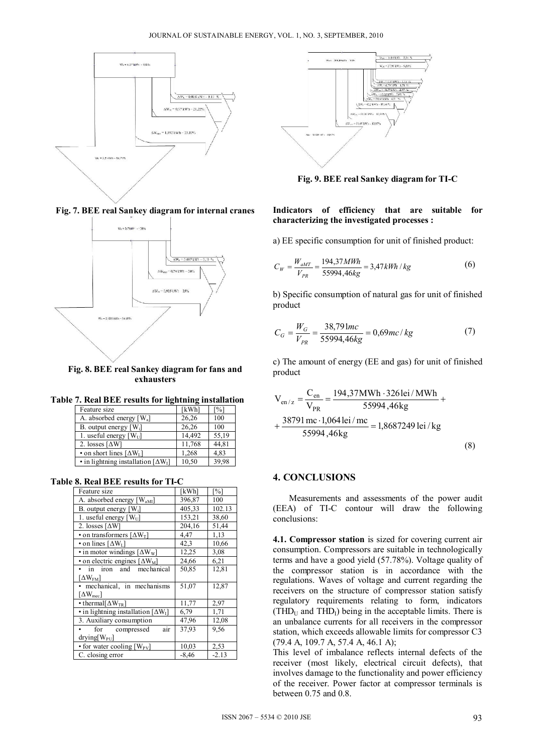

**Fig. 7. BEE real Sankey diagram for internal cranes** 



**Fig. 8. BEE real Sankey diagram for fans and exhausters** 

**Table 7. Real BEE results for lightning installation** 

| Feature size                                       | [kWh]  | $\lceil \% \rceil$ |
|----------------------------------------------------|--------|--------------------|
| A. absorbed energy $[W_a]$                         | 26,26  | 100                |
| B. output energy $[W_i]$                           | 26,26  | 100                |
| 1. useful energy $[W_U]$                           | 14.492 | 55,19              |
| 2. losses $\lceil \Delta W \rceil$                 | 11,768 | 44,81              |
| • on short lines $[\Delta W_L]$                    | 1,268  | 4,83               |
| $\cdot$ in lightning installation [ $\Delta W_I$ ] | 10,50  | 39,98              |

**Table 8. Real BEE results for TI-C** 

| Feature size                                          | [kWh]   | [%]     |
|-------------------------------------------------------|---------|---------|
| A. absorbed energy [W <sub>aMI</sub> ]                | 396,87  | 100     |
| B. output energy $[W_i]$                              | 405,33  | 102.13  |
| 1. useful energy $[W_U]$                              | 153,21  | 38,60   |
| 2. losses $\lceil \Delta W \rceil$                    | 204,16  | 51,44   |
| • on transformers $\lceil \Delta W_T \rceil$          | 4,47    | 1,13    |
| • on lines $\lceil \Delta W_L \rceil$                 | 42,3    | 10,66   |
| $\cdot$ in motor windings $\left[ \Delta W_W \right]$ | 12,25   | 3,08    |
| • on electric engines $\left[\Delta W_M\right]$       | 24,66   | 6,21    |
| in iron and mechanical                                | 50,85   | 12,81   |
| $\lceil \Delta W_{\rm FM} \rceil$                     |         |         |
| mechanical, in mechanisms                             | 51,07   | 12,87   |
| $\lceil \Delta \mathrm{W}_{\mathrm{mec}} \rceil$      |         |         |
| • thermal $\Delta W_{TR}$                             | 11,77   | 2,97    |
| $\cdot$ in lightning installation [ $\Delta W_I$ ]    | 6,79    | 1,71    |
| 3. Auxiliary consumption                              | 47,96   | 12,08   |
| air<br>for compressed                                 | 37,93   | 9,56    |
| $drying[W_{PU}]$                                      |         |         |
| • for water cooling $[W_{PV}]$                        | 10,03   | 2,53    |
| C. closing error                                      | $-8,46$ | $-2.13$ |



**Fig. 9. BEE real Sankey diagram for TI-C** 

## **Indicators of efficiency that are suitable for characterizing the investigated processes :**

a) EE specific consumption for unit of finished product:

$$
C_W = \frac{W_{aMT}}{V_{PR}} = \frac{194,37MWh}{55994,46kg} = 3,47kWh/kg
$$
 (6)

b) Specific consumption of natural gas for unit of finished product

$$
C_G = \frac{W_G}{V_{PR}} = \frac{38,791mc}{55994,46kg} = 0,69mc/kg
$$
 (7)

c) The amount of energy (EE and gas) for unit of finished product

$$
V_{en/z} = \frac{C_{en}}{V_{PR}} = \frac{194,37MWh \cdot 3261ei/MWh}{55994,46kg} + \frac{38791 \text{ mc} \cdot 1,0641ei/mc}{55994,46kg} = 1,86872491 \text{ ei/kg}
$$
\n(8)

# **4. CONCLUSIONS**

Measurements and assessments of the power audit (EEA) of TI-C contour will draw the following conclusions:

**4.1. Compressor station** is sized for covering current air consumption. Compressors are suitable in technologically terms and have a good yield (57.78%). Voltage quality of the compressor station is in accordance with the regulations. Waves of voltage and current regarding the receivers on the structure of compressor station satisfy regulatory requirements relating to form, indicators  $(THD<sub>U</sub>$  and  $THD<sub>I</sub>$ ) being in the acceptable limits. There is an unbalance currents for all receivers in the compressor station, which exceeds allowable limits for compressor C3 (79.4 A, 109.7 A, 57.4 A, 46.1 A);

This level of imbalance reflects internal defects of the receiver (most likely, electrical circuit defects), that involves damage to the functionality and power efficiency of the receiver. Power factor at compressor terminals is between 0.75 and 0.8.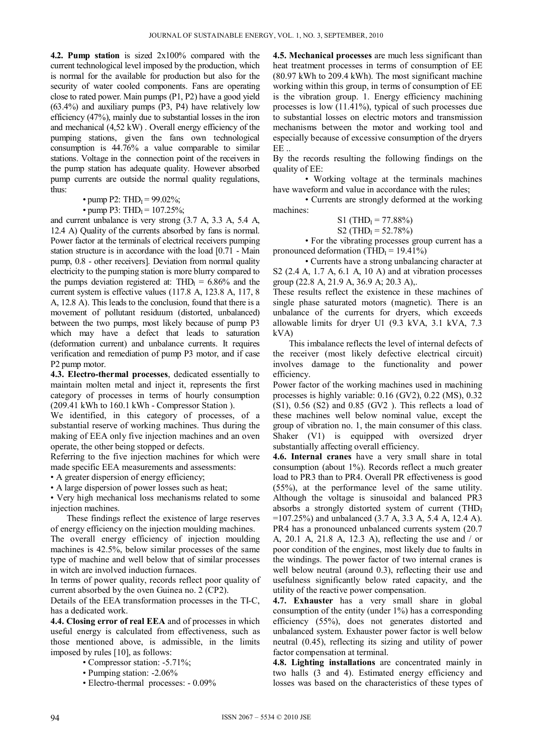**4.2. Pump station** is sized 2x100% compared with the current technological level imposed by the production, which is normal for the available for production but also for the security of water cooled components. Fans are operating close to rated power. Main pumps (P1, P2) have a good yield (63.4%) and auxiliary pumps (P3, P4) have relatively low efficiency (47%), mainly due to substantial losses in the iron and mechanical (4,52 kW) . Overall energy efficiency of the pumping stations, given the fans own technological consumption is 44.76% a value comparable to similar stations. Voltage in the connection point of the receivers in the pump station has adequate quality. However absorbed pump currents are outside the normal quality regulations, thus:

• pump P2: THD<sub>I</sub> = 99.02%;

• pump P3: THD<sub>I</sub> =  $107.25\%$ ;

and current unbalance is very strong (3.7 A, 3.3 A, 5.4 A, 12.4 A) Quality of the currents absorbed by fans is normal. Power factor at the terminals of electrical receivers pumping station structure is in accordance with the load [0.71 - Main pump, 0.8 - other receivers]. Deviation from normal quality electricity to the pumping station is more blurry compared to the pumps deviation registered at:  $THD<sub>I</sub> = 6.86%$  and the current system is effective values (117.8 A, 123.8 A, 117, 8 A, 12.8 A). This leads to the conclusion, found that there is a movement of pollutant residuum (distorted, unbalanced) between the two pumps, most likely because of pump P3 which may have a defect that leads to saturation (deformation current) and unbalance currents. It requires verification and remediation of pump P3 motor, and if case P2 pump motor.

**4.3. Electro-thermal processes**, dedicated essentially to maintain molten metal and inject it, represents the first category of processes in terms of hourly consumption (209.41 kWh to 160.1 kWh - Compressor Station ).

We identified, in this category of processes, of a substantial reserve of working machines. Thus during the making of EEA only five injection machines and an oven operate, the other being stopped or defects.

Referring to the five injection machines for which were made specific EEA measurements and assessments:

• A greater dispersion of energy efficiency;

• A large dispersion of power losses such as heat;

• Very high mechanical loss mechanisms related to some injection machines.

These findings reflect the existence of large reserves of energy efficiency on the injection moulding machines. The overall energy efficiency of injection moulding machines is 42.5%, below similar processes of the same type of machine and well below that of similar processes in witch are involved induction furnaces.

In terms of power quality, records reflect poor quality of current absorbed by the oven Guinea no. 2 (CP2).

Details of the EEA transformation processes in the TI-C, has a dedicated work.

**4.4. Closing error of real EEA** and of processes in which useful energy is calculated from effectiveness, such as those mentioned above, is admissible, in the limits imposed by rules [10], as follows:

• Compressor station: -5.71%;

- Pumping station: -2.06%
- Electro-thermal processes: 0.09%

**4.5. Mechanical processes** are much less significant than heat treatment processes in terms of consumption of EE (80.97 kWh to 209.4 kWh). The most significant machine working within this group, in terms of consumption of EE is the vibration group. 1. Energy efficiency machining processes is low (11.41%), typical of such processes due to substantial losses on electric motors and transmission mechanisms between the motor and working tool and especially because of excessive consumption of the dryers  $\mathbf{FE}$  .

By the records resulting the following findings on the quality of EE:

• Working voltage at the terminals machines have waveform and value in accordance with the rules;

• Currents are strongly deformed at the working machines:

S1 (THD<sub>I</sub> = 77.88%)

$$
S2 (THDI = 52.78%)
$$

• For the vibrating processes group current has a pronounced deformation (THD $_I$  = 19.41%)

• Currents have a strong unbalancing character at S2 (2.4 A, 1.7 A, 6.1 A, 10 A) and at vibration processes group (22.8 A, 21.9 A, 36.9 A; 20.3 A),.

These results reflect the existence in these machines of single phase saturated motors (magnetic). There is an unbalance of the currents for dryers, which exceeds allowable limits for dryer U1 (9.3 kVA, 3.1 kVA, 7.3 kVA)

This imbalance reflects the level of internal defects of the receiver (most likely defective electrical circuit) involves damage to the functionality and power efficiency.

Power factor of the working machines used in machining processes is highly variable: 0.16 (GV2), 0.22 (MS), 0.32  $(S1)$ , 0.56  $(S2)$  and 0.85  $(GV2)$ . This reflects a load of these machines well below nominal value, except the group of vibration no. 1, the main consumer of this class. Shaker (V1) is equipped with oversized dryer substantially affecting overall efficiency.

**4.6. Internal cranes** have a very small share in total consumption (about 1%). Records reflect a much greater load to PR3 than to PR4. Overall PR effectiveness is good (55%), at the performance level of the same utility. Although the voltage is sinusoidal and balanced PR3 absorbs a strongly distorted system of current  $(THD<sub>I</sub>)$ =107.25%) and unbalanced (3.7 A, 3.3 A, 5.4 A, 12.4 A). PR4 has a pronounced unbalanced currents system (20.7 A, 20.1 A, 21.8 A, 12.3 A), reflecting the use and / or poor condition of the engines, most likely due to faults in the windings. The power factor of two internal cranes is well below neutral (around 0.3), reflecting their use and usefulness significantly below rated capacity, and the utility of the reactive power compensation.

**4.7. Exhauster** has a very small share in global consumption of the entity (under 1%) has a corresponding efficiency (55%), does not generates distorted and unbalanced system. Exhauster power factor is well below neutral (0.45), reflecting its sizing and utility of power factor compensation at terminal.

**4.8. Lighting installations** are concentrated mainly in two halls (3 and 4). Estimated energy efficiency and losses was based on the characteristics of these types of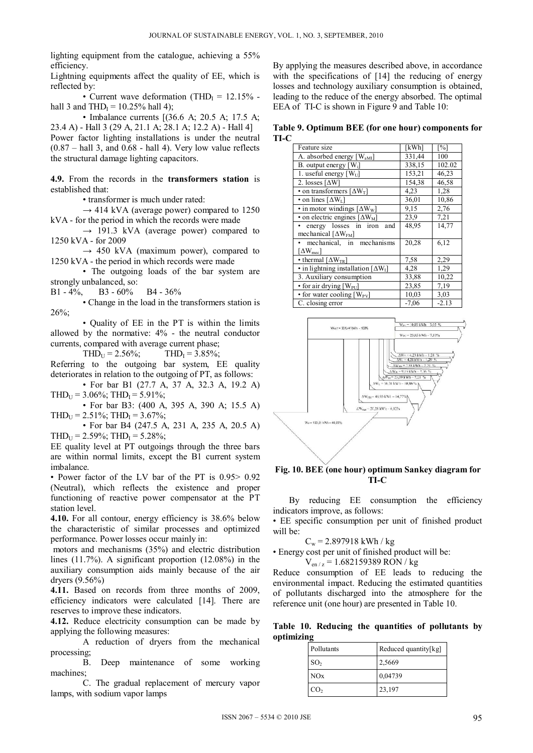lighting equipment from the catalogue, achieving a 55% efficiency.

Lightning equipments affect the quality of EE, which is reflected by:

• Current wave deformation (THD<sub>I</sub> =  $12.15\%$  hall 3 and THD<sub>I</sub> =  $10.25\%$  hall 4);

• Imbalance currents [(36.6 A; 20.5 A; 17.5 A; 23.4 A) - Hall 3 (29 A, 21.1 A; 28.1 A; 12.2 A) - Hall 4] Power factor lighting installations is under the neutral  $(0.87 - \text{hall } 3, \text{ and } 0.68 - \text{hall } 4)$ . Very low value reflects the structural damage lighting capacitors.

**4.9.** From the records in the **transformers station** is established that:

• transformer is much under rated:

 $\rightarrow$  414 kVA (average power) compared to 1250 kVA - for the period in which the records were made

 $\rightarrow$  191.3 kVA (average power) compared to 1250 kVA - for 2009

 $\rightarrow$  450 kVA (maximum power), compared to 1250 kVA - the period in which records were made

• The outgoing loads of the bar system are strongly unbalanced, so:<br>B1 -  $4\%$ , B3 -  $60\%$ 

B1 - 4%, B3 - 60% B4 - 36%

• Change in the load in the transformers station is 26%;

• Quality of EE in the PT is within the limits allowed by the normative: 4% - the neutral conductor currents, compared with average current phase;

 $THD_{U} = 2.56\%;$  THD<sub>I</sub> = 3.85%;

Referring to the outgoing bar system, EE quality deteriorates in relation to the outgoing of PT, as follows:

• For bar B1 (27.7 A, 37 A, 32.3 A, 19.2 A)  $THD_U = 3.06\%$ ;  $THD_I = 5.91\%$ ;

• For bar B3: (400 A, 395 A, 390 A; 15.5 A)  $THD_U = 2.51\%; THD_I = 3.67\%;$ 

• For bar B4 (247.5 A, 231 A, 235 A, 20.5 A)  $THD_{U} = 2.59\%$ ;  $THD_{I} = 5.28\%$ ;

EE quality level at PT outgoings through the three bars are within normal limits, except the B1 current system imbalance.

• Power factor of the LV bar of the PT is 0.95> 0.92 (Neutral), which reflects the existence and proper functioning of reactive power compensator at the PT station level.

**4.10.** For all contour, energy efficiency is 38.6% below the characteristic of similar processes and optimized performance. Power losses occur mainly in:

 motors and mechanisms (35%) and electric distribution lines (11.7%). A significant proportion (12.08%) in the auxiliary consumption aids mainly because of the air dryers (9.56%)

**4.11.** Based on records from three months of 2009, efficiency indicators were calculated [14]. There are reserves to improve these indicators.

**4.12.** Reduce electricity consumption can be made by applying the following measures:

A reduction of dryers from the mechanical processing;

B. Deep maintenance of some working machines;

C. The gradual replacement of mercury vapor lamps, with sodium vapor lamps

By applying the measures described above, in accordance with the specifications of [14] the reducing of energy losses and technology auxiliary consumption is obtained, leading to the reduce of the energy absorbed. The optimal EEA of TI-C is shown in Figure 9 and Table 10:

**Table 9. Optimum BEE (for one hour) components for TI-C** 

| Feature size                                              | [kWh]   | [%]     |
|-----------------------------------------------------------|---------|---------|
| A. absorbed energy $[W_{aMI}]$                            | 331,44  | 100     |
| B. output energy $[W_i]$                                  | 338,15  | 102.02  |
| 1. useful energy $[W_U]$                                  | 153,21  | 46,23   |
| 2. losses $\lceil \Delta W \rceil$                        | 154,38  | 46,58   |
| • on transformers $\lceil \Delta W_T \rceil$              | 4,23    | 1,28    |
| • on lines $[\Delta W_L]$                                 | 36,01   | 10,86   |
| $\overline{\cdot}$ in motor windings [ $\Delta W_{W}$ ]   | 9,15    | 2,76    |
| $\overline{\bullet}$ on electric engines [ $\Delta W_M$ ] | 23,9    | 7,21    |
| energy losses in iron<br>and                              | 48,95   | 14,77   |
| mechanical $[\Delta W_{FM}]$                              |         |         |
| mechanical, in mechanisms                                 | 20,28   | 6,12    |
| $\lceil \Delta W_{\text{mec}} \rceil$                     |         |         |
| • thermal $\lceil \Delta W_{TR} \rceil$                   | 7,58    | 2,29    |
| • in lightning installation $[\Delta W_I]$                | 4.28    | 1,29    |
| 3. Auxiliary consumption                                  | 33,88   | 10,22   |
| $\bullet$ for air drying [W <sub>PU</sub> ]               | 23,85   | 7,19    |
| • for water cooling $[W_{PV}]$                            | 10,03   | 3,03    |
| C. closing error                                          | $-7,06$ | $-2.13$ |



## **Fig. 10. BEE (one hour) optimum Sankey diagram for TI-C**

By reducing EE consumption the efficiency indicators improve, as follows:

• EE specific consumption per unit of finished product will be:

 $C_w = 2.897918$  kWh / kg

• Energy cost per unit of finished product will be:

 $V_{en/z} = 1.682159389 RON / kg$ 

Reduce consumption of EE leads to reducing the environmental impact. Reducing the estimated quantities of pollutants discharged into the atmosphere for the reference unit (one hour) are presented in Table 10.

**Table 10. Reducing the quantities of pollutants by optimizing** 

| Pollutants      | Reduced quantity[kg] |
|-----------------|----------------------|
| SO <sub>2</sub> | 2,5669               |
| NOx             | 0,04739              |
| CO <sub>2</sub> | 23,197               |